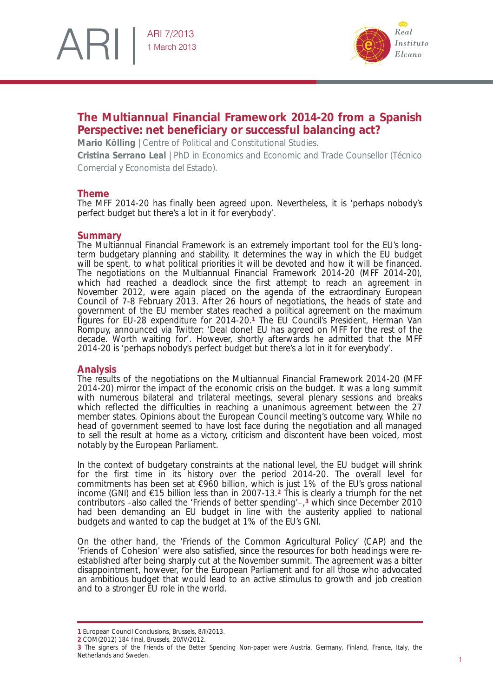# ARI ARI 7/2013 1 March 2013



# **The Multiannual Financial Framework 2014-20 from a Spanish Perspective: net beneficiary or successful balancing act?**

**Mario Kölling** | Centre of Political and Constitutional Studies.

**Cristina Serrano Leal** | PhD in Economics and Economic and Trade Counsellor (Técnico Comercial y Economista del Estado).

## **Theme**

The MFF 2014-20 has finally been agreed upon. Nevertheless, it is 'perhaps nobody's perfect budget but there's a lot in it for everybody'.

# **Summary**

The Multiannual Financial Framework is an extremely important tool for the EU's longterm budgetary planning and stability. It determines the way in which the EU budget will be spent, to what political priorities it will be devoted and how it will be financed. The negotiations on the Multiannual Financial Framework 2014-20 (MFF 2014-20), which had reached a deadlock since the first attempt to reach an agreement in November 2012, were again placed on the agenda of the extraordinary European Council of 7-8 February 2013. After 26 hours of negotiations, the heads of state and government of the EU member states reached a political agreement on the maximum figures for EU28 expenditure for 201420.**<sup>1</sup>** The EU Council's President, Herman Van Rompuy, announced via Twitter: 'Deal done! EU has agreed on MFF for the rest of the decade. Worth waiting for'. However, shortly afterwards he admitted that the MFF 201420 is 'perhaps nobody's perfect budget but there's a lot in it for everybody'.

## **Analysis**

The results of the negotiations on the Multiannual Financial Framework 201420 (MFF 201420) mirror the impact of the economic crisis on the budget. It was a long summit with numerous bilateral and trilateral meetings, several plenary sessions and breaks which reflected the difficulties in reaching a unanimous agreement between the 27 member states. Opinions about the European Council meeting's outcome vary. While no head of government seemed to have lost face during the negotiation and all managed to sell the result at home as a victory, criticism and discontent have been voiced, most notably by the European Parliament.

In the context of budgetary constraints at the national level, the EU budget will shrink for the first time in its history over the period 2014-20. The overall level for commitments has been set at  $\epsilon$ 960 billion, which is just 1% of the EU's gross national income (GNI) and  $\epsilon$ 15 billion less than in 2007-13.<sup>2</sup> This is clearly a triumph for the net contributors –also called the 'Friends of better spending'–,**<sup>3</sup>** which since December 2010 had been demanding an EU budget in line with the austerity applied to national budgets and wanted to cap the budget at 1% of the EU's GNI.

On the other hand, the 'Friends of the Common Agricultural Policy' (CAP) and the 'Friends of Cohesion' were also satisfied, since the resources for both headings were reestablished after being sharply cut at the November summit. The agreement was a bitter disappointment, however, for the European Parliament and for all those who advocated an ambitious budget that would lead to an active stimulus to growth and job creation and to a stronger EU role in the world.

**<sup>1</sup>** European Council Conclusions, Brussels, 8/II/2013.

**<sup>2</sup>** COM(2012) 184 final, Brussels, 20/IV/2012.

**<sup>3</sup>** The signers of the Friends of the Better Spending Non-paper were Austria, Germany, Finland, France, Italy, the Netherlands and Sweden.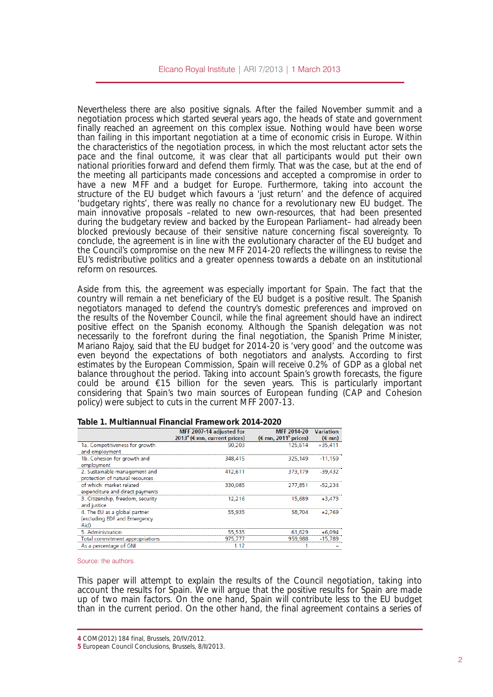Nevertheless there are also positive signals. After the failed November summit and a negotiation process which started several years ago, the heads of state and government finally reached an agreement on this complex issue. Nothing would have been worse than failing in this important negotiation at a time of economic crisis in Europe. Within the characteristics of the negotiation process, in which the most reluctant actor sets the pace and the final outcome, it was clear that all participants would put their own national priorities forward and defend them firmly. That was the case, but at the end of the meeting all participants made concessions and accepted a compromise in order to have a new MFF and a budget for Europe. Furthermore, taking into account the structure of the EU budget which favours a 'just return' and the defence of acquired 'budgetary rights', there was really no chance for a revolutionary new EU budget. The main innovative proposals –related to new own-resources, that had been presented during the budgetary review and backed by the European Parliament– had already been blocked previously because of their sensitive nature concerning fiscal sovereignty. To conclude, the agreement is in line with the evolutionary character of the EU budget and the Council's compromise on the new MFF 201420 reflects the willingness to revise the EU's redistributive politics and a greater openness towards a debate on an institutional reform on resources.

Aside from this, the agreement was especially important for Spain. The fact that the country will remain a net beneficiary of the EU budget is a positive result. The Spanish negotiators managed to defend the country's domestic preferences and improved on the results of the November Council, while the final agreement should have an indirect positive effect on the Spanish economy. Although the Spanish delegation was not necessarily to the forefront during the final negotiation, the Spanish Prime Minister, Mariano Rajoy, said that the EU budget for 2014-20 is 'very good' and the outcome was even beyond the expectations of both negotiators and analysts. According to first estimates by the European Commission, Spain will receive 0.2% of GDP as a global net balance throughout the period. Taking into account Spain's growth forecasts, the figure could be around  $615$  billion for the seven years. This is particularly important considering that Spain's two main sources of European funding (CAP and Cohesion policy) were subject to cuts in the current MFF 2007-13.

|                                                                       | MFF 2007-14 adjusted for<br>$20134$ ( $\notin$ mn, current prices) | MFF 2014-20<br>$(\epsilon$ mn, 2011 <sup>5</sup> prices) | <b>Variation</b><br>$(\epsilon$ mn) |
|-----------------------------------------------------------------------|--------------------------------------------------------------------|----------------------------------------------------------|-------------------------------------|
| 1a. Competitiveness for growth<br>and employment                      | 90.203                                                             | 125.614                                                  | $+35.411$                           |
| 1b. Cohesion for growth and<br>employment                             | 348.415                                                            | 325.149                                                  | $-11.159$                           |
| 2. Sustainable management and<br>protection of natural resources      | 412.611                                                            | 373.179                                                  | $-39.432$                           |
| of which: market related<br>expenditure and direct payments           | 330.085                                                            | 277.851                                                  | $-52.234$                           |
| 3. Citizenship, freedom, security<br>and justice                      | 12.216                                                             | 15.689                                                   | $+3.473$                            |
| 4. The EU as a global partner<br>(excluding EDF and Emergency<br>Aid) | 55.935                                                             | 58.704                                                   | $+2.769$                            |
| 5. Administration                                                     | 55,535                                                             | 61,629                                                   | +6,094                              |
| Total commitment appropriations                                       | 975,777                                                            | 959.988                                                  | $-15.789$                           |
| As a percentage of GNI                                                | 1.12                                                               |                                                          |                                     |

**Table 1. Multiannual Financial Framework 20142020**

#### Source: the authors.

This paper will attempt to explain the results of the Council negotiation, taking into account the results for Spain. We will argue that the positive results for Spain are made up of two main factors. On the one hand, Spain will contribute less to the EU budget than in the current period. On the other hand, the final agreement contains a series of

**<sup>4</sup>** COM(2012) 184 final, Brussels, 20/IV/2012.

**<sup>5</sup>** European Council Conclusions, Brussels, 8/II/2013.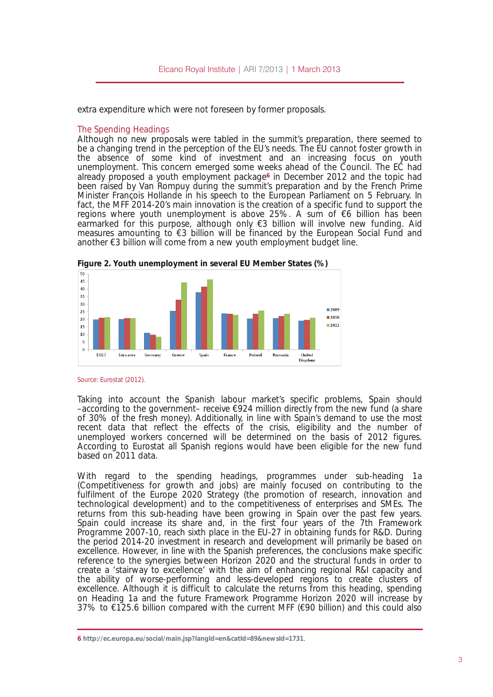extra expenditure which were not foreseen by former proposals.

### The Spending Headings

Although no new proposals were tabled in the summit\$ preparation, there seemed to be a changing trend in the perception of the EU<sup>t</sup> needs. The EU cannot foster growth in the absence of some kind of investment and an increasing focus on youth unemployment. This concern emerged some weeks ahead of the Council. The EC had already proposed a youth employment package<sup>6</sup> in December 2012 and the topic had been raised by Van Rompuy during the summit preparation and by the French Prime Minister Fran<sup>3</sup>ois Hollande in his speech to the European Parliament on 5 February. In fact, the MFF 2014-20\$ main innovation is the creation of a specific fund to support the regions where youth unemployment is above 25%. A sum of 6 billion has been earmarked for this purpose, although only, 3 billion will involve new funding. Aid measures amounting to, 3 billion will be financed by the European Social Fund and another, 3 billion will come from a new youth employment budget line.

I lj xuh 51\ r xwk xqhp sor | p hqwlq vhyhudoHX P hp ehu Wodwhv  $+$  ,

#### Source: Eurostat (2012).

Taking into account the Spanish labour market‡s specific problems, Spain should  $\alpha$  according to the government $\alpha$  receive, 924 million directly from the new fund (a share of 30% of the fresh money). Additionally, in line with Spain  $\frac{1}{2}$  demand to use the most recent data that reflect the effects of the crisis, eligibility and the number of unemployed workers concerned will be determined on the basis of 2012 figures. According to Eurostat all Spanish regions would have been eligible for the new fund based on 2011 data.

With regard to the spending headings, programmes under sub-heading 1a (Competitiveness for growth and jobs) are mainly focused on contributing to the fulfilment of the Europe 2020 Strategy (the promotion of research, innovation and technological development) and to the competitiveness of enterprises and SMEs. The returns from this sub-heading have been growing in Spain over the past few years. Spain could increase its share and, in the first four years of the 7th Framework Programme 2007-10, reach sixth place in the EU-27 in obtaining funds for R&D. During the period 2014-20 investment in research and development will primarily be based on excellence. However, in line with the Spanish preferences, the conclusions make specific reference to the synergies between Horizon 2020 and the structural funds in order to create a †stairway to excellence‡with the aim of enhancing regional R&I capacity and the ability of worse-performing and less-developed regions to create clusters of excellence. Although it is difficult to calculate the returns from this heading, spending on Heading 1a and the future Framework Programme Horizon 2020 will increase by  $37\%$  to,  $125.6$  billion compared with the current MFF (, 90 billion) and this could also

<sup>9</sup> kwws=22hf 1hxur sd1hx2vr fldo2p dlq1mxBodqj Lg@hq) fdwlg@; <) qhz vLg@4: 641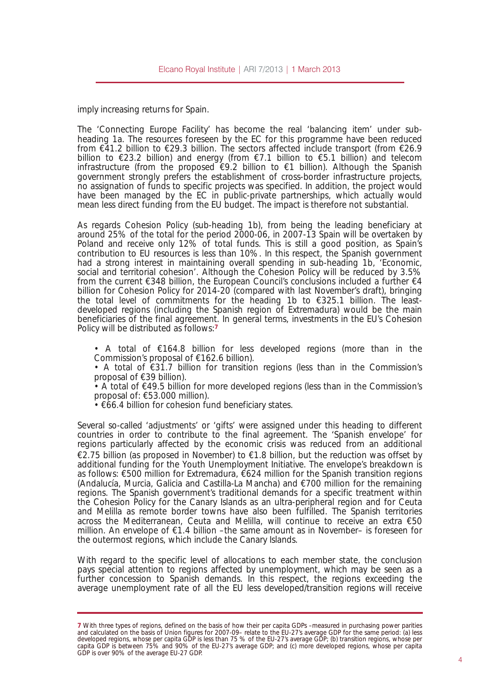imply increasing returns for Spain.

The 'Connecting Europe Facility' has become the real 'balancing item' under subheading 1a. The resources foreseen by the EC for this programme have been reduced from  $\epsilon$ 41.2 billion to  $\epsilon$ 29.3 billion. The sectors affected include transport (from  $\epsilon$ 26.9 billion to 23.2 billion) and energy (from 7.1 billion to 5.1 billion) and telecom infrastructure (from the proposed  $\epsilon$ 9.2 billion to  $\epsilon$ 1 billion). Although the Spanish government strongly prefers the establishment of cross-border infrastructure projects, no assignation of funds to specific projects was specified. In addition, the project would have been managed by the EC in public-private partnerships, which actually would mean less direct funding from the EU budget. The impact is therefore not substantial.

As regards Cohesion Policy (sub-heading 1b), from being the leading beneficiary at around 25% of the total for the period 2000-06, in 2007-13 Spain will be overtaken by Poland and receive only 12% of total funds. This is still a good position, as Spain's contribution to EU resources is less than 10%. In this respect, the Spanish government had a strong interest in maintaining overall spending in sub-heading 1b, 'Economic, social and territorial cohesion'. Although the Cohesion Policy will be reduced by 3.5% from the current  $\epsilon$ 348 billion, the European Council's conclusions included a further  $\epsilon$ 4 billion for Cohesion Policy for 2014-20 (compared with last November's draft), bringing the total level of commitments for the heading 1b to  $E$ 325.1 billion. The leastdeveloped regions (including the Spanish region of Extremadura) would be the main beneficiaries of the final agreement. In general terms, investments in the EU's Cohesion Policy will be distributed as follows:**<sup>7</sup>**

• A total of  $E164.8$  billion for less developed regions (more than in the Commission's proposal of  $£162.6$  billion).

• A total of  $\epsilon$ 31.7 billion for transition regions (less than in the Commission's proposal of  $E$ 39 billion).

• A total of  $E49.5$  billion for more developed regions (less than in the Commission's proposal of: €53.000 million).

 $\cdot \in$  66.4 billion for cohesion fund beneficiary states.

Several so-called 'adjustments' or 'gifts' were assigned under this heading to different countries in order to contribute to the final agreement. The 'Spanish envelope' for regions particularly affected by the economic crisis was reduced from an additional  $\epsilon$ 2.75 billion (as proposed in November) to  $\epsilon$ 1.8 billion, but the reduction was offset by additional funding for the Youth Unemployment Initiative. The envelope's breakdown is as follows:  $\epsilon$ 500 million for Extremadura,  $\epsilon$ 624 million for the Spanish transition regions (Andalucía, Murcia, Galicia and Castilla-La Mancha) and  $\epsilon$ 700 million for the remaining regions. The Spanish government's traditional demands for a specific treatment within the Cohesion Policy for the Canary Islands as an ultra-peripheral region and for Ceuta and Melilla as remote border towns have also been fulfilled. The Spanish territories across the Mediterranean, Ceuta and Melilla, will continue to receive an extra €50 million. An envelope of  $\epsilon$ 1.4 billion –the same amount as in November– is foreseen for the outermost regions, which include the Canary Islands.

With regard to the specific level of allocations to each member state, the conclusion pays special attention to regions affected by unemployment, which may be seen as a further concession to Spanish demands. In this respect, the regions exceeding the average unemployment rate of all the EU less developed/transition regions will receive

**<sup>7</sup>** With three types of regions, defined on the basis of how their per capita GDPs –measured in purchasing power parities and calculated on the basis of Union figures for 2007-09– relate to the EU-27's average GDP for the same period: (a) less developed regions, whose per capita GDP is less than 75 % of the EU-27's average GDP; (b) transition regions, whose per capita GDP is between 75% and 90% of the EU-27's average GDP; and (c) more developed regions, whose per capita GDP is over 90% of the average EU-27 GDP.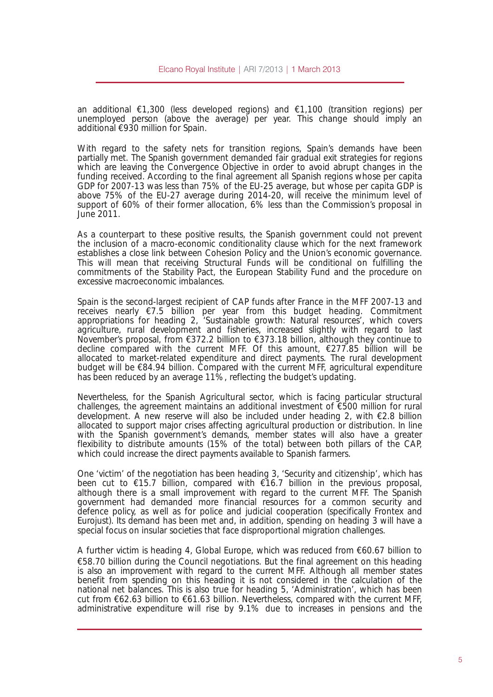an additional  $\epsilon$ 1,300 (less developed regions) and  $\epsilon$ 1,100 (transition regions) per unemployed person (above the average) per year. This change should imply an additional  $\epsilon$ 930 million for Spain.

With regard to the safety nets for transition regions, Spain's demands have been partially met. The Spanish government demanded fair gradual exit strategies for regions which are leaving the Convergence Objective in order to avoid abrupt changes in the funding received. According to the final agreement all Spanish regions whose per capita GDP for 2007-13 was less than 75% of the EU-25 average, but whose per capita GDP is above 75% of the EU-27 average during 2014-20, will receive the minimum level of support of 60% of their former allocation, 6% less than the Commission's proposal in June 2011.

As a counterpart to these positive results, the Spanish government could not prevent the inclusion of a macro-economic conditionality clause which for the next framework establishes a close link between Cohesion Policy and the Union's economic governance. This will mean that receiving Structural Funds will be conditional on fulfilling the commitments of the Stability Pact, the European Stability Fund and the procedure on excessive macroeconomic imbalances.

Spain is the second-largest recipient of CAP funds after France in the MFF 2007-13 and receives nearly €7.5 billion per year from this budget heading. Commitment appropriations for heading 2, 'Sustainable growth: Natural resources', which covers agriculture, rural development and fisheries, increased slightly with regard to last November's proposal, from €372.2 billion to €373.18 billion, although they continue to decline compared with the current MFF. Of this amount,  $\epsilon$ 277.85 billion will be allocated to market-related expenditure and direct payments. The rural development budget will be €84.94 billion. Compared with the current MFF, agricultural expenditure has been reduced by an average 11%, reflecting the budget's updating.

Nevertheless, for the Spanish Agricultural sector, which is facing particular structural challenges, the agreement maintains an additional investment of  $\epsilon$ 500 million for rural development. A new reserve will also be included under heading 2, with  $\epsilon$ 2.8 billion allocated to support major crises affecting agricultural production or distribution. In line with the Spanish government's demands, member states will also have a greater flexibility to distribute amounts (15% of the total) between both pillars of the CAP, which could increase the direct payments available to Spanish farmers.

One 'victim' of the negotiation has been heading 3, 'Security and citizenship', which has been cut to €15.7 billion, compared with €16.7 billion in the previous proposal, although there is a small improvement with regard to the current MFF. The Spanish government had demanded more financial resources for a common security and defence policy, as well as for police and judicial cooperation (specifically Frontex and Eurojust). Its demand has been met and, in addition, spending on heading 3 will have a special focus on insular societies that face disproportional migration challenges.

A further victim is heading 4, Global Europe, which was reduced from  $\epsilon$ 60.67 billion to €58.70 billion during the Council negotiations. But the final agreement on this heading is also an improvement with regard to the current MFF. Although all member states benefit from spending on this heading it is not considered in the calculation of the national net balances. This is also true for heading 5, 'Administration', which has been cut from €62.63 billion to €61.63 billion. Nevertheless, compared with the current MFF, administrative expenditure will rise by 9.1% due to increases in pensions and the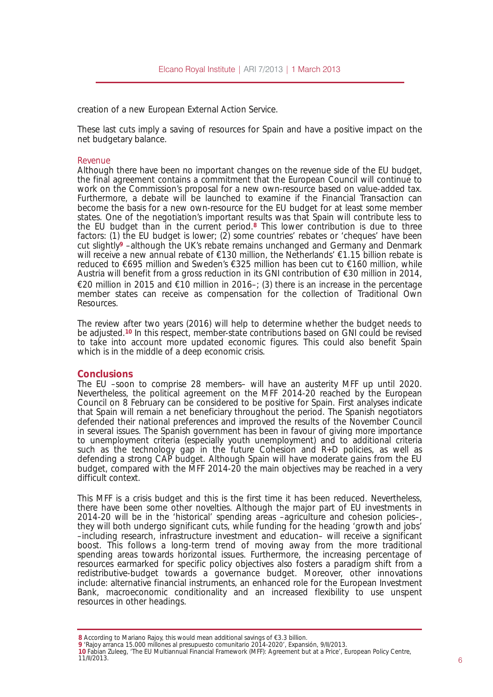creation of a new European External Action Service.

These last cuts imply a saving of resources for Spain and have a positive impact on the net budgetary balance.

## *Revenue*

Although there have been no important changes on the revenue side of the EU budget, the final agreement contains a commitment that the European Council will continue to work on the Commission's proposal for a new own-resource based on value-added tax. Furthermore, a debate will be launched to examine if the Financial Transaction can become the basis for a new own-resource for the EU budget for at least some member states. One of the negotiation's important results was that Spain will contribute less to the EU budget than in the current period.**<sup>8</sup>** This lower contribution is due to three factors: (1) the EU budget is lower; (2) some countries' rebates or 'cheques' have been cut slightly**<sup>9</sup>** –although the UK's rebate remains unchanged and Germany and Denmark will receive a new annual rebate of  $\epsilon$ 130 million, the Netherlands'  $\epsilon$ 1.15 billion rebate is reduced to  $695$  million and Sweden's  $6325$  million has been cut to  $6160$  million, while Austria will benefit from a gross reduction in its GNI contribution of  $\epsilon$ 30 million in 2014,  $E$ 20 million in 2015 and  $E$ 10 million in 2016–; (3) there is an increase in the percentage member states can receive as compensation for the collection of Traditional Own Resources.

The review after two years (2016) will help to determine whether the budget needs to be adjusted.**<sup>10</sup>** In this respect, memberstate contributions based on GNI could be revised to take into account more updated economic figures. This could also benefit Spain which is in the middle of a deep economic crisis.

## **Conclusions**

The EU –soon to comprise 28 members– will have an austerity MFF up until 2020. Nevertheless, the political agreement on the MFF 201420 reached by the European Council on 8 February can be considered to be positive for Spain. First analyses indicate that Spain will remain a net beneficiary throughout the period. The Spanish negotiators defended their national preferences and improved the results of the November Council in several issues. The Spanish government has been in favour of giving more importance to unemployment criteria (especially youth unemployment) and to additional criteria such as the technology gap in the future Cohesion and R+D policies, as well as defending a strong CAP budget. Although Spain will have moderate gains from the EU budget, compared with the MFF 2014-20 the main objectives may be reached in a very difficult context.

This MFF is a crisis budget and this is the first time it has been reduced. Nevertheless, there have been some other novelties. Although the major part of EU investments in 201420 will be in the 'historical' spending areas –agriculture and cohesion policies–, they will both undergo significant cuts, while funding for the heading 'growth and jobs' –including research, infrastructure investment and education– will receive a significant boost. This follows a long-term trend of moving away from the more traditional spending areas towards horizontal issues. Furthermore, the increasing percentage of resources earmarked for specific policy objectives also fosters a paradigm shift from a redistributive-budget towards a governance budget. Moreover, other innovations include: alternative financial instruments, an enhanced role for the European Investment Bank, macroeconomic conditionality and an increased flexibility to use unspent resources in other headings.

**<sup>8</sup>** According to Mariano Rajoy, this would mean additional savings of €3.3 billion.

**<sup>9</sup>** 'Rajoy arranca 15.000 millones al presupuesto comunitario 20142020', Expansión, 9/II/2013.

**<sup>10</sup>** Fabian Zuleeg, 'The EU Multiannual Financial Framework (MFF): Agreement but at a Price', European Policy Centre,  $11/11/2013.$  6